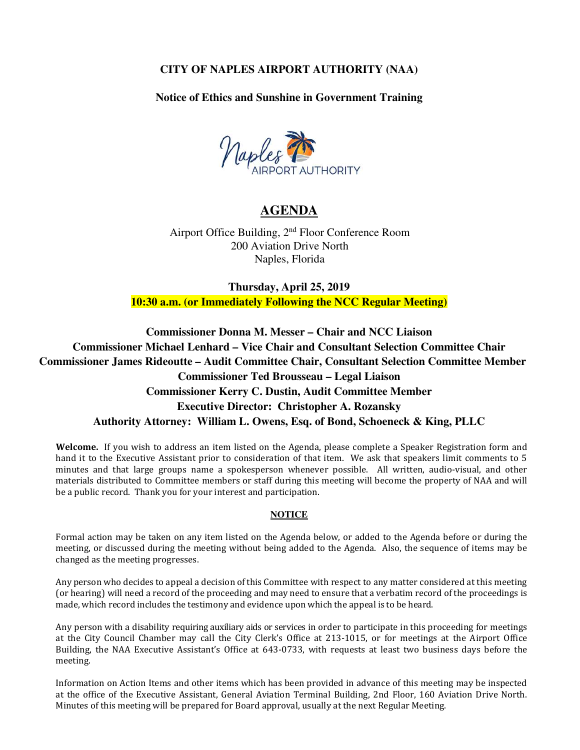## **CITY OF NAPLES AIRPORT AUTHORITY (NAA)**

**Notice of Ethics and Sunshine in Government Training**



# **AGENDA**

Airport Office Building, 2nd Floor Conference Room 200 Aviation Drive North Naples, Florida

**Thursday, April 25, 2019 10:30 a.m. (or Immediately Following the NCC Regular Meeting)**

**Commissioner Donna M. Messer – Chair and NCC Liaison Commissioner Michael Lenhard – Vice Chair and Consultant Selection Committee Chair Commissioner James Rideoutte – Audit Committee Chair, Consultant Selection Committee Member Commissioner Ted Brousseau – Legal Liaison Commissioner Kerry C. Dustin, Audit Committee Member Executive Director: Christopher A. Rozansky Authority Attorney: William L. Owens, Esq. of Bond, Schoeneck & King, PLLC** 

**Welcome.** If you wish to address an item listed on the Agenda, please complete a Speaker Registration form and hand it to the Executive Assistant prior to consideration of that item. We ask that speakers limit comments to 5 minutes and that large groups name a spokesperson whenever possible. All written, audio-visual, and other materials distributed to Committee members or staff during this meeting will become the property of NAA and will be a public record. Thank you for your interest and participation.

#### **NOTICE**

Formal action may be taken on any item listed on the Agenda below, or added to the Agenda before or during the meeting, or discussed during the meeting without being added to the Agenda. Also, the sequence of items may be changed as the meeting progresses.

Any person who decides to appeal a decision of this Committee with respect to any matter considered at this meeting (or hearing) will need a record of the proceeding and may need to ensure that a verbatim record of the proceedings is made, which record includes the testimony and evidence upon which the appeal is to be heard.

Any person with a disability requiring auxiliary aids or services in order to participate in this proceeding for meetings at the City Council Chamber may call the City Clerk's Office at 213-1015, or for meetings at the Airport Office Building, the NAA Executive Assistant's Office at 643-0733, with requests at least two business days before the meeting.

Information on Action Items and other items which has been provided in advance of this meeting may be inspected at the office of the Executive Assistant, General Aviation Terminal Building, 2nd Floor, 160 Aviation Drive North. Minutes of this meeting will be prepared for Board approval, usually at the next Regular Meeting.